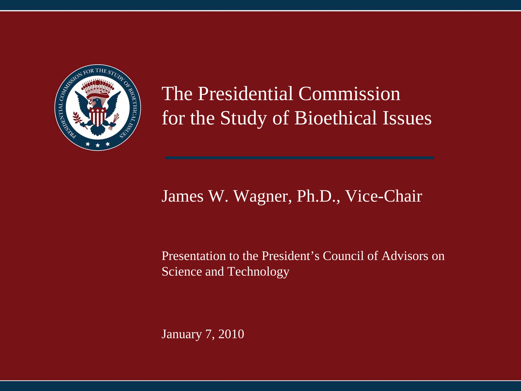

#### The Presidential Commission for the Study of Bioethical Issues

#### James W. Wagner, Ph.D., Vice-Chair

#### Presentation to the President's Council of Advisors on Science and Technology

January 7, 2010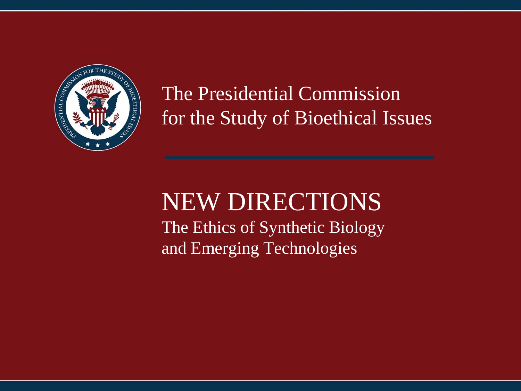

The Presidential Commission for the Study of Bioethical Issues

# NEW DIRECTIONS

The Ethics of Synthetic Biology and Emerging Technologies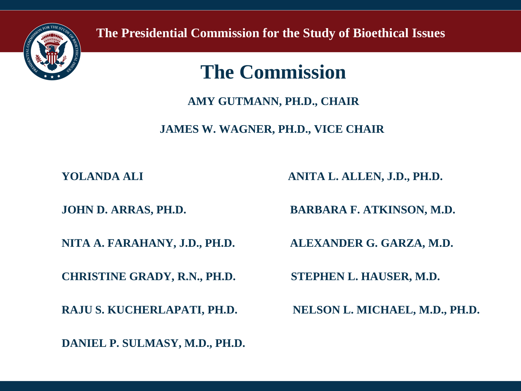

**The Presidential Commission for the Study of Bioethical Issues**

#### **The Commission**

**AMY GUTMANN, PH.D., CHAIR**

**JAMES W. WAGNER, PH.D., VICE CHAIR**

**CHRISTINE GRADY, R.N., PH.D. STEPHEN L. HAUSER, M.D.**

**DANIEL P. SULMASY, M.D., PH.D.**

**YOLANDA ALI ANITA L. ALLEN, J.D., PH.D.**

**JOHN D. ARRAS, PH.D. BARBARA F. ATKINSON, M.D.**

**NITA A. FARAHANY, J.D., PH.D. ALEXANDER G. GARZA, M.D.**

**RAJU S. KUCHERLAPATI, PH.D. NELSON L. MICHAEL, M.D., PH.D.**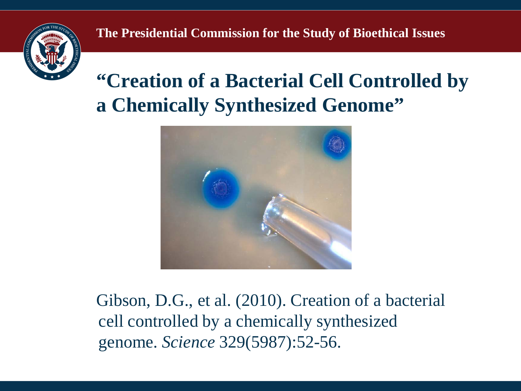

#### **"Creation of a Bacterial Cell Controlled by a Chemically Synthesized Genome"**



Gibson, D.G., et al. (2010). Creation of a bacterial cell controlled by a chemically synthesized genome. *Science* 329(5987):52-56.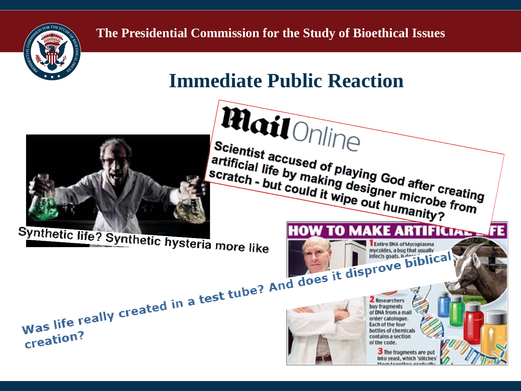

#### **Immediate Public Reaction**

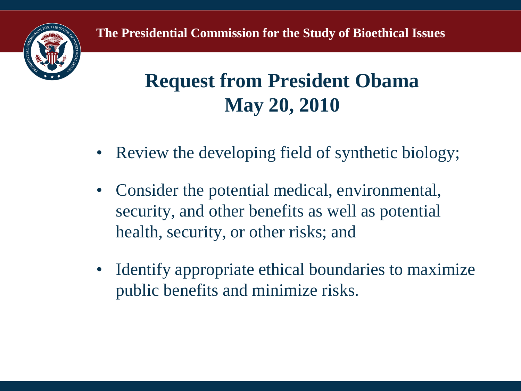



- Review the developing field of synthetic biology;
- Consider the potential medical, environmental, security, and other benefits as well as potential health, security, or other risks; and
- Identify appropriate ethical boundaries to maximize public benefits and minimize risks.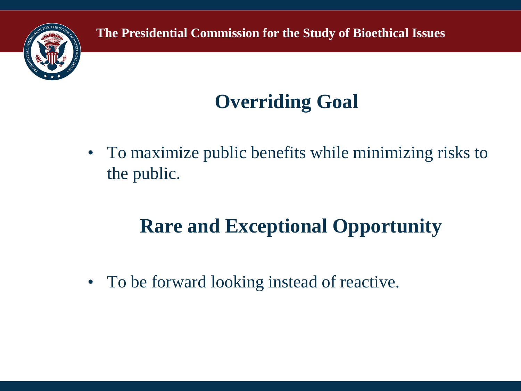

**The Presidential Commission for the Study of Bioethical Issues**

## **Overriding Goal**

• To maximize public benefits while minimizing risks to the public.

### **Rare and Exceptional Opportunity**

• To be forward looking instead of reactive.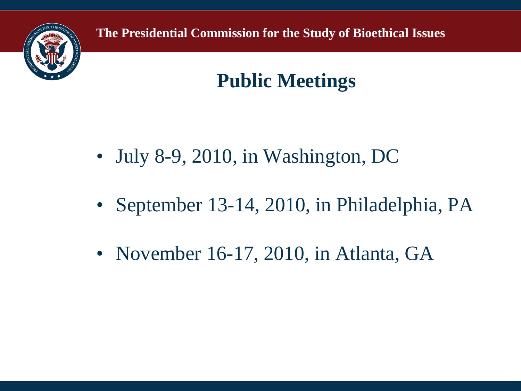

**The Presidential Commission for the Study of Bioethical Issues**

#### **Public Meetings**

- July 8-9, 2010, in Washington, DC
- September 13-14, 2010, in Philadelphia, PA
- November 16-17, 2010, in Atlanta, GA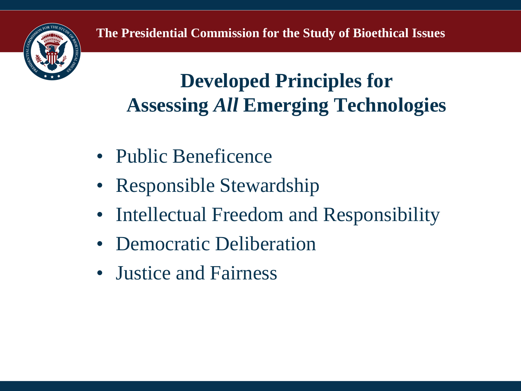

#### **Developed Principles for Assessing** *All* **Emerging Technologies**

- Public Beneficence
- Responsible Stewardship
- Intellectual Freedom and Responsibility
- Democratic Deliberation
- Justice and Fairness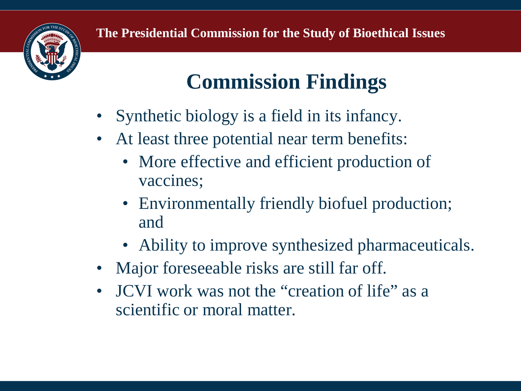

# **Commission Findings**

- Synthetic biology is a field in its infancy.
- At least three potential near term benefits:
	- More effective and efficient production of vaccines;
	- Environmentally friendly biofuel production; and
	- Ability to improve synthesized pharmaceuticals.
- Major foreseeable risks are still far off.
- JCVI work was not the "creation of life" as a scientific or moral matter.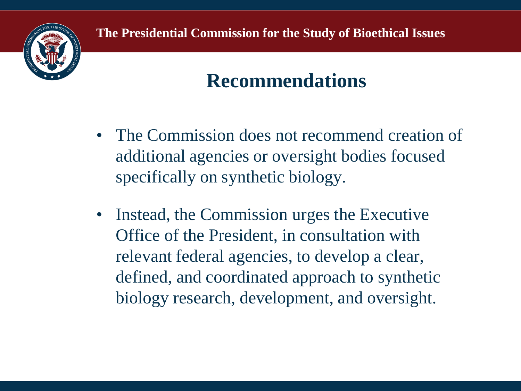

#### **Recommendations**

- The Commission does not recommend creation of additional agencies or oversight bodies focused specifically on synthetic biology.
- Instead, the Commission urges the Executive Office of the President, in consultation with relevant federal agencies, to develop a clear, defined, and coordinated approach to synthetic biology research, development, and oversight.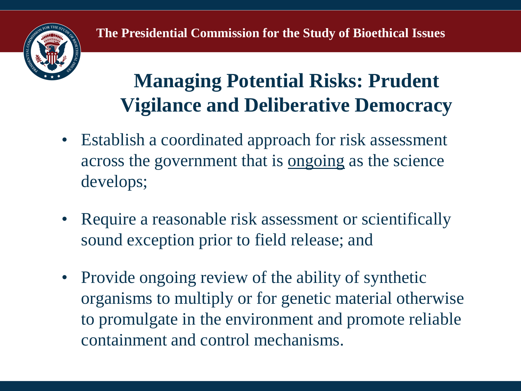

#### **Managing Potential Risks: Prudent Vigilance and Deliberative Democracy**

- Establish a coordinated approach for risk assessment across the government that is ongoing as the science develops;
- Require a reasonable risk assessment or scientifically sound exception prior to field release; and
- Provide ongoing review of the ability of synthetic organisms to multiply or for genetic material otherwise to promulgate in the environment and promote reliable containment and control mechanisms.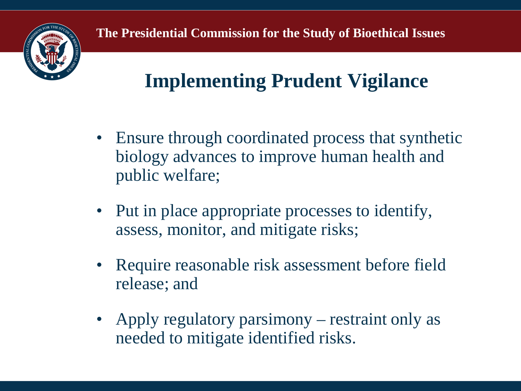

## **Implementing Prudent Vigilance**

- Ensure through coordinated process that synthetic biology advances to improve human health and public welfare;
- Put in place appropriate processes to identify, assess, monitor, and mitigate risks;
- Require reasonable risk assessment before field release; and
- Apply regulatory parsimony restraint only as needed to mitigate identified risks.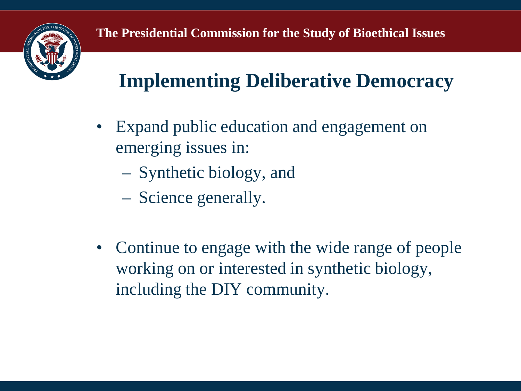

# **Implementing Deliberative Democracy**

- Expand public education and engagement on emerging issues in:
	- Synthetic biology, and
	- Science generally.
- Continue to engage with the wide range of people working on or interested in synthetic biology, including the DIY community.